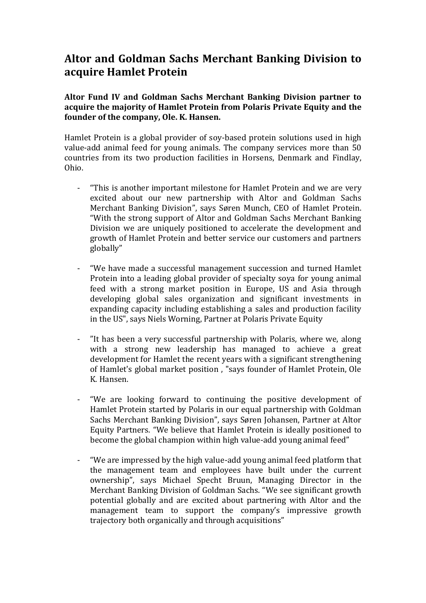# **Altor and Goldman Sachs Merchant Banking Division to acquire Hamlet Protein**

**Altor Fund IV and Goldman Sachs Merchant Banking Division partner to acquire the majority of Hamlet Protein from Polaris Private Equity and the founder of the company, Ole. K. Hansen.** 

Hamlet Protein is a global provider of soy-based protein solutions used in high value-add animal feed for young animals. The company services more than 50 countries from its two production facilities in Horsens, Denmark and Findlay, Ohio.

- "This is another important milestone for Hamlet Protein and we are very excited about our new partnership with Altor and Goldman Sachs Merchant Banking Division", says Søren Munch, CEO of Hamlet Protein. "With the strong support of Altor and Goldman Sachs Merchant Banking Division we are uniquely positioned to accelerate the development and growth of Hamlet Protein and better service our customers and partners globally"
- "We have made a successful management succession and turned Hamlet Protein into a leading global provider of specialty soya for young animal feed with a strong market position in Europe, US and Asia through developing global sales organization and significant investments in expanding capacity including establishing a sales and production facility in the US", says Niels Worning, Partner at Polaris Private Equity
- "It has been a very successful partnership with Polaris, where we, along with a strong new leadership has managed to achieve a great development for Hamlet the recent years with a significant strengthening of Hamlet's global market position , "says founder of Hamlet Protein, Ole K. Hansen.
- "We are looking forward to continuing the positive development of Hamlet Protein started by Polaris in our equal partnership with Goldman Sachs Merchant Banking Division", says Søren Johansen, Partner at Altor Equity Partners. "We believe that Hamlet Protein is ideally positioned to become the global champion within high value-add young animal feed"
- "We are impressed by the high value-add young animal feed platform that the management team and employees have built under the current ownership", says Michael Specht Bruun, Managing Director in the Merchant Banking Division of Goldman Sachs. "We see significant growth potential globally and are excited about partnering with Altor and the management team to support the company's impressive growth trajectory both organically and through acquisitions"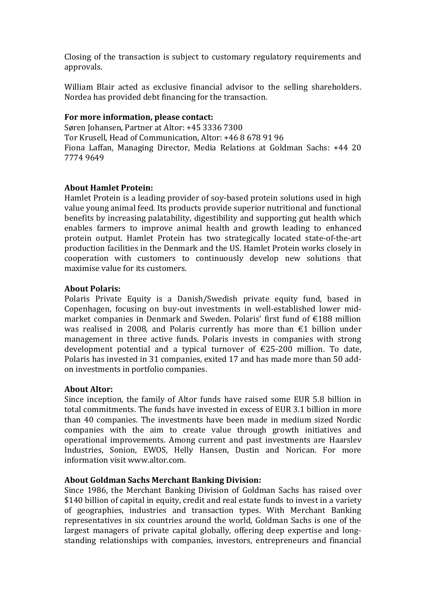Closing of the transaction is subject to customary regulatory requirements and approvals.

William Blair acted as exclusive financial advisor to the selling shareholders. Nordea has provided debt financing for the transaction.

### **For more information, please contact:**

Søren Johansen, Partner at Altor: +45 3336 7300 Tor Krusell, Head of Communication, Altor: +46 8 678 91 96 Fiona Laffan, Managing Director, Media Relations at Goldman Sachs: +44 20 7774 9649

## **About Hamlet Protein:**

Hamlet Protein is a leading provider of soy-based protein solutions used in high value young animal feed. Its products provide superior nutritional and functional benefits by increasing palatability, digestibility and supporting gut health which enables farmers to improve animal health and growth leading to enhanced protein output. Hamlet Protein has two strategically located state-of-the-art production facilities in the Denmark and the US. Hamlet Protein works closely in cooperation with customers to continuously develop new solutions that maximise value for its customers.

## **About Polaris:**

Polaris Private Equity is a Danish/Swedish private equity fund, based in Copenhagen, focusing on buy-out investments in well-established lower midmarket companies in Denmark and Sweden. Polaris' first fund of €188 million was realised in 2008, and Polaris currently has more than  $\epsilon$ 1 billion under management in three active funds. Polaris invests in companies with strong development potential and a typical turnover of €25-200 million. To date, Polaris has invested in 31 companies, exited 17 and has made more than 50 addon investments in portfolio companies.

## **About Altor:**

Since inception, the family of Altor funds have raised some EUR 5.8 billion in total commitments. The funds have invested in excess of EUR 3.1 billion in more than 40 companies. The investments have been made in medium sized Nordic companies with the aim to create value through growth initiatives and operational improvements. Among current and past investments are Haarslev Industries, Sonion, EWOS, Helly Hansen, Dustin and Norican. For more information visit www.altor.com.

## **About Goldman Sachs Merchant Banking Division:**

Since 1986, the Merchant Banking Division of Goldman Sachs has raised over \$140 billion of capital in equity, credit and real estate funds to invest in a variety of geographies, industries and transaction types. With Merchant Banking representatives in six countries around the world, Goldman Sachs is one of the largest managers of private capital globally, offering deep expertise and longstanding relationships with companies, investors, entrepreneurs and financial